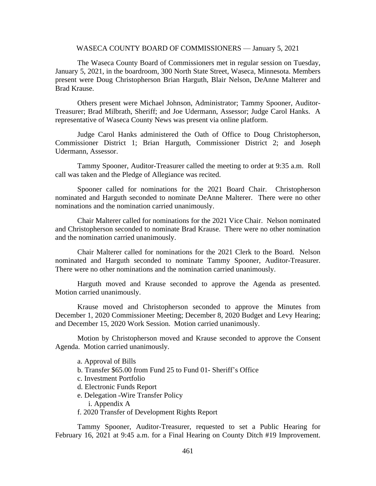#### WASECA COUNTY BOARD OF COMMISSIONERS — January 5, 2021

The Waseca County Board of Commissioners met in regular session on Tuesday, January 5, 2021, in the boardroom, 300 North State Street, Waseca, Minnesota. Members present were Doug Christopherson Brian Harguth, Blair Nelson, DeAnne Malterer and Brad Krause.

Others present were Michael Johnson, Administrator; Tammy Spooner, Auditor-Treasurer; Brad Milbrath, Sheriff; and Joe Udermann, Assessor; Judge Carol Hanks. A representative of Waseca County News was present via online platform.

Judge Carol Hanks administered the Oath of Office to Doug Christopherson, Commissioner District 1; Brian Harguth, Commissioner District 2; and Joseph Udermann, Assessor.

Tammy Spooner, Auditor-Treasurer called the meeting to order at 9:35 a.m. Roll call was taken and the Pledge of Allegiance was recited.

Spooner called for nominations for the 2021 Board Chair. Christopherson nominated and Harguth seconded to nominate DeAnne Malterer. There were no other nominations and the nomination carried unanimously.

Chair Malterer called for nominations for the 2021 Vice Chair. Nelson nominated and Christopherson seconded to nominate Brad Krause. There were no other nomination and the nomination carried unanimously.

Chair Malterer called for nominations for the 2021 Clerk to the Board. Nelson nominated and Harguth seconded to nominate Tammy Spooner, Auditor-Treasurer. There were no other nominations and the nomination carried unanimously.

Harguth moved and Krause seconded to approve the Agenda as presented. Motion carried unanimously.

Krause moved and Christopherson seconded to approve the Minutes from December 1, 2020 Commissioner Meeting; December 8, 2020 Budget and Levy Hearing; and December 15, 2020 Work Session. Motion carried unanimously.

Motion by Christopherson moved and Krause seconded to approve the Consent Agenda. Motion carried unanimously.

- a. Approval of Bills
- b. Transfer \$65.00 from Fund 25 to Fund 01- Sheriff's Office
- c. Investment Portfolio
- d. Electronic Funds Report
- e. Delegation –Wire Transfer Policy
	- i. Appendix A
- f. 2020 Transfer of Development Rights Report

Tammy Spooner, Auditor-Treasurer, requested to set a Public Hearing for February 16, 2021 at 9:45 a.m. for a Final Hearing on County Ditch #19 Improvement.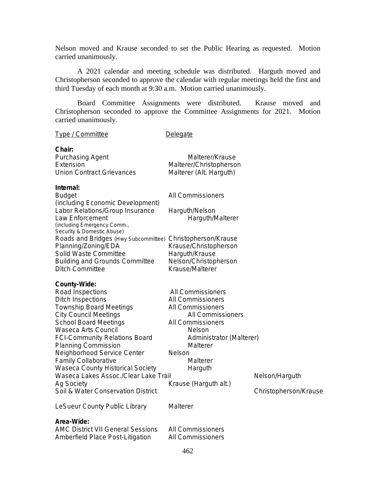Nelson moved and Krause seconded to set the Public Hearing as requested. Motion carried unanimously.

A 2021 calendar and meeting schedule was distributed. Harguth moved and Christopherson seconded to approve the calendar with regular meetings held the first and third Tuesday of each month at 9:30 a.m. Motion carried unanimously.

Board Committee Assignments were distributed. Krause moved and Christopherson seconded to approve the Committee Assignments for 2021. Motion carried unanimously.

| Type / Committee                                                                                                                                                                                                                                                                                                                                                                                                                                          | Delegate                                                                                                                                                                                                                 |                                         |
|-----------------------------------------------------------------------------------------------------------------------------------------------------------------------------------------------------------------------------------------------------------------------------------------------------------------------------------------------------------------------------------------------------------------------------------------------------------|--------------------------------------------------------------------------------------------------------------------------------------------------------------------------------------------------------------------------|-----------------------------------------|
| Chair:<br>Purchasing Agent<br>Extension<br><b>Union Contract Grievances</b>                                                                                                                                                                                                                                                                                                                                                                               | Malterer/Krause<br>Malterer/Christopherson<br>Malterer (Alt. Harguth)                                                                                                                                                    |                                         |
| Internal:<br><b>Budget</b><br>(including Economic Development)<br>Labor Relations/Group Insurance<br>Law Enforcement<br>(including Emergency Comm.,<br>Security & Domestic Abuse)<br>Roads and Bridges (Hwy Subcommittee) Christopherson/Krause<br>Planning/Zoning/EDA<br>Solid Waste Committee<br><b>Building and Grounds Committee</b><br><b>Ditch Committee</b>                                                                                        | All Commissioners<br>Harguth/Nelson<br>Harguth/Malterer<br>Krause/Christopherson<br>Harguth/Krause<br>Nelson/Christopherson<br>Krause/Malterer                                                                           |                                         |
| County-Wide:<br>Road Inspections<br><b>Ditch Inspections</b><br><b>Township Board Meetings</b><br><b>City Council Meetings</b><br><b>School Board Meetings</b><br>Waseca Arts Council<br><b>FCI-Community Relations Board</b><br>Planning Commission<br>Neighborhood Service Center<br><b>Family Collaborative</b><br>Waseca County Historical Society<br>Waseca Lakes Assoc./Clear Lake Trail<br><b>Ag Society</b><br>Soil & Water Conservation District | All Commissioners<br>All Commissioners<br>All Commissioners<br>All Commissioners<br>All Commissioners<br><b>Nelson</b><br>Administrator (Malterer)<br>Malterer<br>Nelson<br>Malterer<br>Harguth<br>Krause (Harguth alt.) | Nelson/Harguth<br>Christopherson/Krause |
| LeSueur County Public Library                                                                                                                                                                                                                                                                                                                                                                                                                             | Malterer                                                                                                                                                                                                                 |                                         |
| Area-Wide:<br><b>AMC District VII General Sessions</b><br>Amberfield Place Post-Litigation                                                                                                                                                                                                                                                                                                                                                                | All Commissioners<br>All Commissioners                                                                                                                                                                                   |                                         |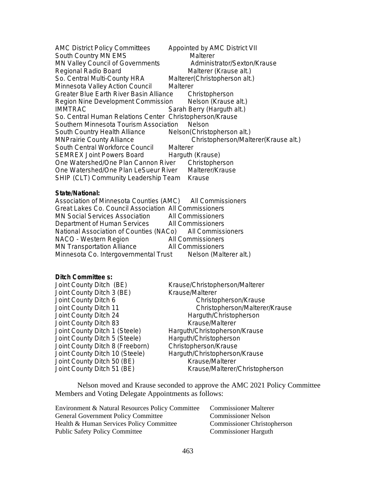AMC District Policy Committees Appointed by AMC District VII South Country MN EMS Malterer MN Valley Council of Governments Administrator/Sexton/Krause<br>Regional Radio Board Malterer (Krause alt.) Regional Radio Board So. Central Multi-County HRA Malterer(Christopherson alt.) Minnesota Valley Action Council Malterer Greater Blue Earth River Basin Alliance Christopherson Region Nine Development Commission Melson (Krause alt.)<br>1MMTRAC March 2012 Sarah Berry (Harquth alt.) Sarah Berry (Harguth alt.) So. Central Human Relations Center Christopherson/Krause Southern Minnesota Tourism Association Nelson South Country Health Alliance Melson(Christopherson alt.) MNPrairie County Alliance Christopherson/Malterer(Krause alt.) South Central Workforce Council Malterer SEMREX Joint Powers Board Harguth (Krause) One Watershed/One Plan Cannon River Christopherson One Watershed/One Plan LeSueur River Malterer/Krause SHIP (CLT) Community Leadership Team Krause

#### **State/National:**

| Association of Minnesota Counties (AMC) All Commissioners    |                   |
|--------------------------------------------------------------|-------------------|
| Great Lakes Co. Council Association All Commissioners        |                   |
| MN Social Services Association All Commissioners             |                   |
| Department of Human Services All Commissioners               |                   |
| National Association of Counties (NACo) All Commissioners    |                   |
| NACO - Western Region                                        | All Commissioners |
| <b>MN Transportation Alliance</b>                            | All Commissioners |
| Minnesota Co. Intergovernmental Trust Nelson (Malterer alt.) |                   |

## **Ditch Committee s:**

| Joint County Ditch (BE)         |  |
|---------------------------------|--|
| Joint County Ditch 3 (BE)       |  |
| Joint County Ditch 6            |  |
| Joint County Ditch 11           |  |
| Joint County Ditch 24           |  |
| Joint County Ditch 83           |  |
| Joint County Ditch 1 (Steele)   |  |
| Joint County Ditch 5 (Steele)   |  |
| Joint County Ditch 8 (Freeborn) |  |
| Joint County Ditch 10 (Steele)  |  |
| Joint County Ditch 50 (BE)      |  |
| Joint County Ditch 51 (BE)      |  |
|                                 |  |

Krause/Christopherson/Malterer Krause/Malterer Christopherson/Krause Christopherson/Malterer/Krause Harguth/Christopherson Krause/Malterer Harguth/Christopherson/Krause Harguth/Christopherson Christopherson/Krause Harguth/Christopherson/Krause Krause/Malterer Krause/Malterer/Christopherson

Nelson moved and Krause seconded to approve the AMC 2021 Policy Committee Members and Voting Delegate Appointments as follows:

| Environment & Natural Resources Policy Committee |
|--------------------------------------------------|
| <b>General Government Policy Committee</b>       |
| Health & Human Services Policy Committee         |
| <b>Public Safety Policy Committee</b>            |

Commissioner Malterer Commissioner Nelson Commissioner Christopherson Commissioner Harguth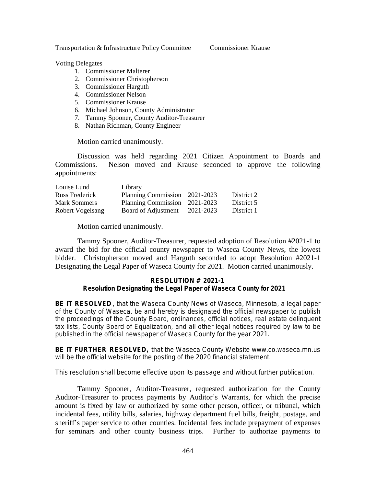Transportation & Infrastructure Policy Committee Commissioner Krause

Voting Delegates

- 1. Commissioner Malterer
- 2. Commissioner Christopherson
- 3. Commissioner Harguth
- 4. Commissioner Nelson
- 5. Commissioner Krause
- 6. Michael Johnson, County Administrator
- 7. Tammy Spooner, County Auditor-Treasurer
- 8. Nathan Richman, County Engineer

Motion carried unanimously.

Discussion was held regarding 2021 Citizen Appointment to Boards and Commissions. Nelson moved and Krause seconded to approve the following appointments:

| Louise Lund         | Library                       |           |            |
|---------------------|-------------------------------|-----------|------------|
| Russ Frederick      | Planning Commission 2021-2023 |           | District 2 |
| <b>Mark Sommers</b> | Planning Commission 2021-2023 |           | District 5 |
| Robert Vogelsang    | Board of Adjustment           | 2021-2023 | District 1 |

Motion carried unanimously.

Tammy Spooner, Auditor-Treasurer, requested adoption of Resolution #2021-1 to award the bid for the official county newspaper to Waseca County News, the lowest bidder. Christopherson moved and Harguth seconded to adopt Resolution #2021-1 Designating the Legal Paper of Waseca County for 2021. Motion carried unanimously.

## **RESOLUTION # 2021-1 Resolution Designating the Legal Paper of Waseca County for 2021**

**BE IT RESOLVED** , that the Waseca County News of Waseca, Minnesota, a legal paper of the County of Waseca, be and hereby is designated the official newspaper to publish the proceedings of the County Board, ordinances, official notices, real estate delinquent tax lists, County Board of Equalization, and all other legal notices required by law to be published in the official newspaper of Waseca County for the year 2021.

**BE IT FURTHER RESOLVED,** that the Waseca County Website www.co.waseca.mn.us will be the official website for the posting of the 2020 financial statement.

This resolution shall become effective upon its passage and without further publication.

Tammy Spooner, Auditor-Treasurer, requested authorization for the County Auditor-Treasurer to process payments by Auditor's Warrants, for which the precise amount is fixed by law or authorized by some other person, officer, or tribunal, which incidental fees, utility bills, salaries, highway department fuel bills, freight, postage, and sheriff's paper service to other counties. Incidental fees include prepayment of expenses for seminars and other county business trips. Further to authorize payments to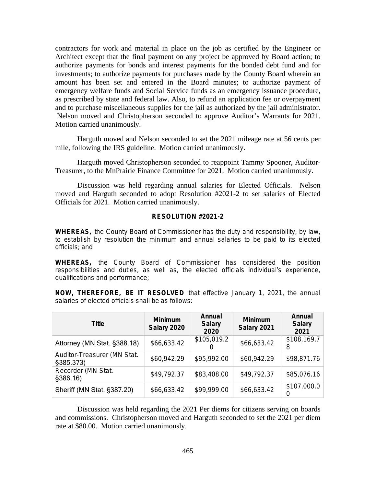contractors for work and material in place on the job as certified by the Engineer or Architect except that the final payment on any project be approved by Board action; to authorize payments for bonds and interest payments for the bonded debt fund and for investments; to authorize payments for purchases made by the County Board wherein an amount has been set and entered in the Board minutes; to authorize payment of emergency welfare funds and Social Service funds as an emergency issuance procedure, as prescribed by state and federal law. Also, to refund an application fee or overpayment and to purchase miscellaneous supplies for the jail as authorized by the jail administrator. Nelson moved and Christopherson seconded to approve Auditor's Warrants for 2021. Motion carried unanimously.

Harguth moved and Nelson seconded to set the 2021 mileage rate at 56 cents per mile, following the IRS guideline. Motion carried unanimously.

Harguth moved Christopherson seconded to reappoint Tammy Spooner, Auditor-Treasurer, to the MnPrairie Finance Committee for 2021. Motion carried unanimously.

Discussion was held regarding annual salaries for Elected Officials. Nelson moved and Harguth seconded to adopt Resolution #2021-2 to set salaries of Elected Officials for 2021. Motion carried unanimously.

## **RESOLUTION #2021-2**

**WHEREAS,** the County Board of Commissioner has the duty and responsibility, by law, to establish by resolution the minimum and annual salaries to be paid to its elected officials; and

**WHEREAS,** the County Board of Commissioner has considered the position responsibilities and duties, as well as, the elected officials individual's experience, qualifications and performance;

**NOW, THEREFORE, BE IT RESOLVED** that effective January 1, 2021, the annual salaries of elected officials shall be as follows:

| <b>Title</b>                             | <b>Minimum</b><br>Salary 2020 | Annual<br><b>Salary</b><br>2020 | <b>Minimum</b><br>Salary 2021 | Annual<br><b>Salary</b><br>2021 |
|------------------------------------------|-------------------------------|---------------------------------|-------------------------------|---------------------------------|
| Attorney (MN Stat. §388.18)              | \$66,633.42                   | \$105,019.2                     | \$66,633.42                   | \$108,169.7<br>8                |
| Auditor-Treasurer (MN Stat.<br>§385.373) | \$60,942.29                   | \$95,992.00                     | \$60,942.29                   | \$98,871.76                     |
| Recorder (MN Stat.<br>§386.16)           | \$49,792.37                   | \$83,408.00                     | \$49,792.37                   | \$85,076.16                     |
| Sheriff (MN Stat. §387.20)               | \$66,633.42                   | \$99,999.00                     | \$66,633.42                   | \$107,000.0<br>$\left($         |

Discussion was held regarding the 2021 Per diems for citizens serving on boards and commissions. Christopherson moved and Harguth seconded to set the 2021 per diem rate at \$80.00. Motion carried unanimously.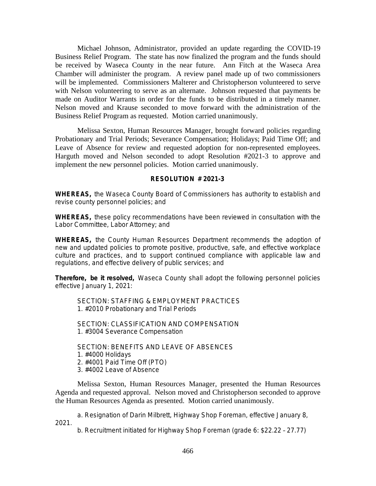Michael Johnson, Administrator, provided an update regarding the COVID-19 Business Relief Program. The state has now finalized the program and the funds should be received by Waseca County in the near future. Ann Fitch at the Waseca Area Chamber will administer the program. A review panel made up of two commissioners will be implemented. Commissioners Malterer and Christopherson volunteered to serve with Nelson volunteering to serve as an alternate. Johnson requested that payments be made on Auditor Warrants in order for the funds to be distributed in a timely manner. Nelson moved and Krause seconded to move forward with the administration of the Business Relief Program as requested. Motion carried unanimously.

Melissa Sexton, Human Resources Manager, brought forward policies regarding Probationary and Trial Periods; Severance Compensation; Holidays; Paid Time Off; and Leave of Absence for review and requested adoption for non-represented employees. Harguth moved and Nelson seconded to adopt Resolution #2021-3 to approve and implement the new personnel policies. Motion carried unanimously.

# **RESOLUTION # 2021-3**

**WHEREAS,** the Waseca County Board of Commissioners has authority to establish and revise county personnel policies; and

**WHEREAS,** these policy recommendations have been reviewed in consultation with the Labor Committee, Labor Attorney; and

**WHEREAS,** the County Human Resources Department recommends the adoption of new and updated policies to promote positive, productive, safe, and effective workplace culture and practices, and to support continued compliance with applicable law and regulations, and effective delivery of public services; and

**Therefore, be it resolved,** Waseca County shall adopt the following personnel policies effective January 1, 2021:

SECTION: STAFFING & EMPLOYMENT PRACTICES 1. #2010 Probationary and Trial Periods

SECTION: CLASSIFICATION AND COMPENSATION 1. #3004 Severance Compensation

SECTION: BENEFITS AND LEAVE OF ABSENCES 1. #4000 Holidays 2. #4001 Paid Time Off (PTO) 3. #4002 Leave of Absence

Melissa Sexton, Human Resources Manager, presented the Human Resources Agenda and requested approval. Nelson moved and Christopherson seconded to approve the Human Resources Agenda as presented. Motion carried unanimously.

a. Resignation of Darin Milbrett, Highway Shop Foreman, effective January 8, 2021.

b. Recruitment initiated for Highway Shop Foreman (grade 6: \$22.22 – 27.77)